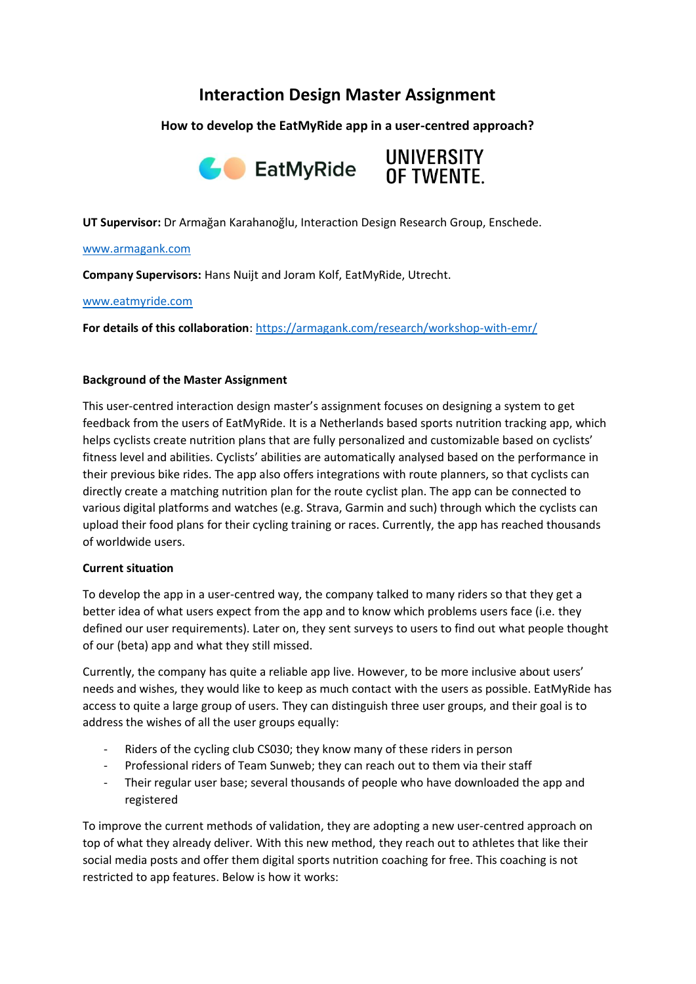# **Interaction Design Master Assignment**

**How to develop the EatMyRide app in a user-centred approach?**





**UT Supervisor:** Dr Armağan Karahanoğlu, Interaction Design Research Group, Enschede.

#### [www.armagank.com](http://www.armagank.com/)

**Company Supervisors:** Hans Nuijt and Joram Kolf, EatMyRide, Utrecht.

### [www.eatmyride.com](http://www.eatmyride.com/)

**For details of this collaboration**[: https://armagank.com/research/workshop-with-emr/](https://armagank.com/research/workshop-with-emr/)

## **Background of the Master Assignment**

This user-centred interaction design master's assignment focuses on designing a system to get feedback from the users of EatMyRide. It is a Netherlands based sports nutrition tracking app, which helps cyclists create nutrition plans that are fully personalized and customizable based on cyclists' fitness level and abilities. Cyclists' abilities are automatically analysed based on the performance in their previous bike rides. The app also offers integrations with route planners, so that cyclists can directly create a matching nutrition plan for the route cyclist plan. The app can be connected to various digital platforms and watches (e.g. Strava, Garmin and such) through which the cyclists can upload their food plans for their cycling training or races. Currently, the app has reached thousands of worldwide users.

### **Current situation**

To develop the app in a user-centred way, the company talked to many riders so that they get a better idea of what users expect from the app and to know which problems users face (i.e. they defined our user requirements). Later on, they sent surveys to users to find out what people thought of our (beta) app and what they still missed.

Currently, the company has quite a reliable app live. However, to be more inclusive about users' needs and wishes, they would like to keep as much contact with the users as possible. EatMyRide has access to quite a large group of users. They can distinguish three user groups, and their goal is to address the wishes of all the user groups equally:

- Riders of the cycling club CS030; they know many of these riders in person
- Professional riders of Team Sunweb; they can reach out to them via their staff
- Their regular user base; several thousands of people who have downloaded the app and registered

To improve the current methods of validation, they are adopting a new user-centred approach on top of what they already deliver. With this new method, they reach out to athletes that like their social media posts and offer them digital sports nutrition coaching for free. This coaching is not restricted to app features. Below is how it works: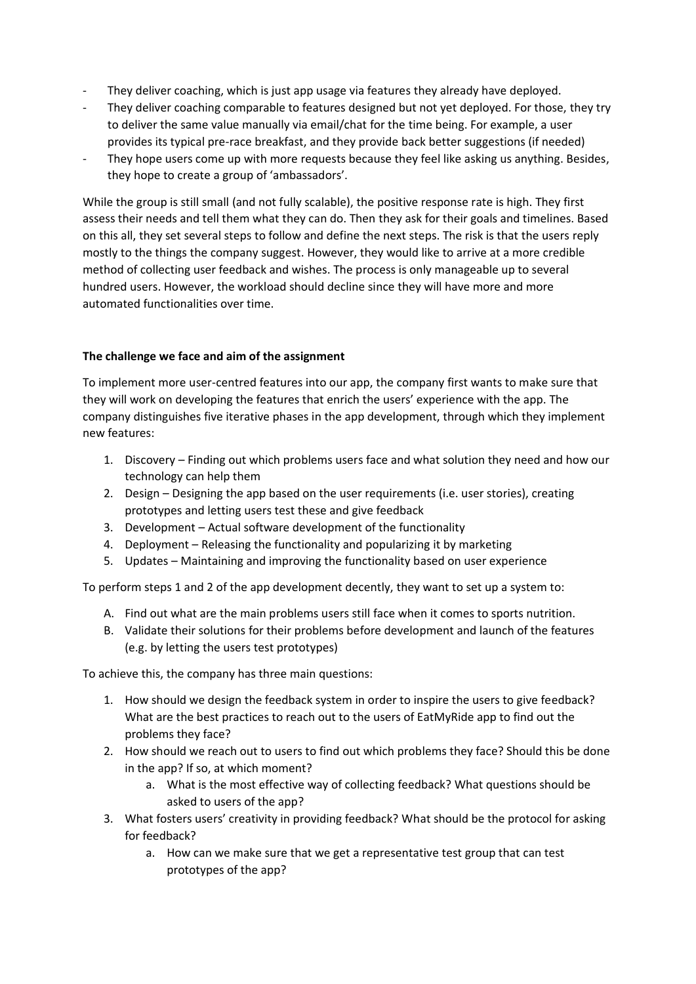- They deliver coaching, which is just app usage via features they already have deployed.
- They deliver coaching comparable to features designed but not yet deployed. For those, they try to deliver the same value manually via email/chat for the time being. For example, a user provides its typical pre-race breakfast, and they provide back better suggestions (if needed)
- They hope users come up with more requests because they feel like asking us anything. Besides, they hope to create a group of 'ambassadors'.

While the group is still small (and not fully scalable), the positive response rate is high. They first assess their needs and tell them what they can do. Then they ask for their goals and timelines. Based on this all, they set several steps to follow and define the next steps. The risk is that the users reply mostly to the things the company suggest. However, they would like to arrive at a more credible method of collecting user feedback and wishes. The process is only manageable up to several hundred users. However, the workload should decline since they will have more and more automated functionalities over time.

## **The challenge we face and aim of the assignment**

To implement more user-centred features into our app, the company first wants to make sure that they will work on developing the features that enrich the users' experience with the app. The company distinguishes five iterative phases in the app development, through which they implement new features:

- 1. Discovery Finding out which problems users face and what solution they need and how our technology can help them
- 2. Design Designing the app based on the user requirements (i.e. user stories), creating prototypes and letting users test these and give feedback
- 3. Development Actual software development of the functionality
- 4. Deployment Releasing the functionality and popularizing it by marketing
- 5. Updates Maintaining and improving the functionality based on user experience

To perform steps 1 and 2 of the app development decently, they want to set up a system to:

- A. Find out what are the main problems users still face when it comes to sports nutrition.
- B. Validate their solutions for their problems before development and launch of the features (e.g. by letting the users test prototypes)

To achieve this, the company has three main questions:

- 1. How should we design the feedback system in order to inspire the users to give feedback? What are the best practices to reach out to the users of EatMyRide app to find out the problems they face?
- 2. How should we reach out to users to find out which problems they face? Should this be done in the app? If so, at which moment?
	- a. What is the most effective way of collecting feedback? What questions should be asked to users of the app?
- 3. What fosters users' creativity in providing feedback? What should be the protocol for asking for feedback?
	- a. How can we make sure that we get a representative test group that can test prototypes of the app?